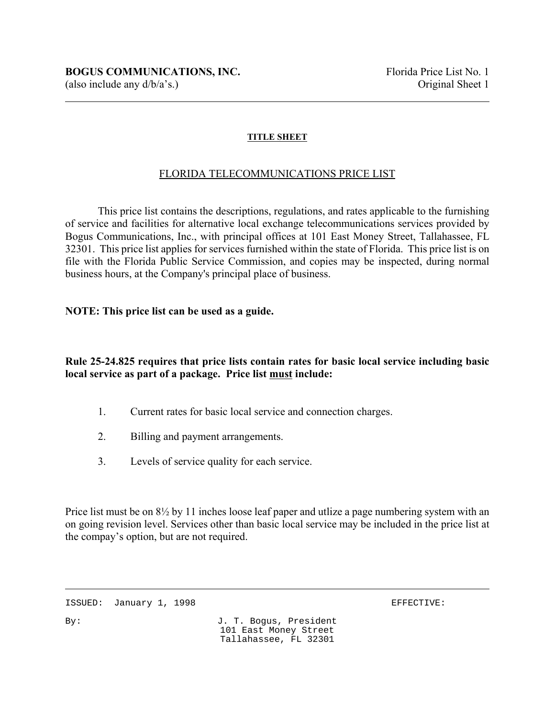### **TITLE SHEET**

#### FLORIDA TELECOMMUNICATIONS PRICE LIST

This price list contains the descriptions, regulations, and rates applicable to the furnishing of service and facilities for alternative local exchange telecommunications services provided by Bogus Communications, Inc., with principal offices at 101 East Money Street, Tallahassee, FL 32301. This price list applies for services furnished within the state of Florida. This price list is on file with the Florida Public Service Commission, and copies may be inspected, during normal business hours, at the Company's principal place of business.

#### **NOTE: This price list can be used as a guide.**

## **Rule 25-24.825 requires that price lists contain rates for basic local service including basic local service as part of a package. Price list must include:**

- 1. Current rates for basic local service and connection charges.
- 2. Billing and payment arrangements.
- 3. Levels of service quality for each service.

Price list must be on 8½ by 11 inches loose leaf paper and utlize a page numbering system with an on going revision level. Services other than basic local service may be included in the price list at the compay's option, but are not required.

ISSUED: January 1, 1998 **EFFECTIVE:**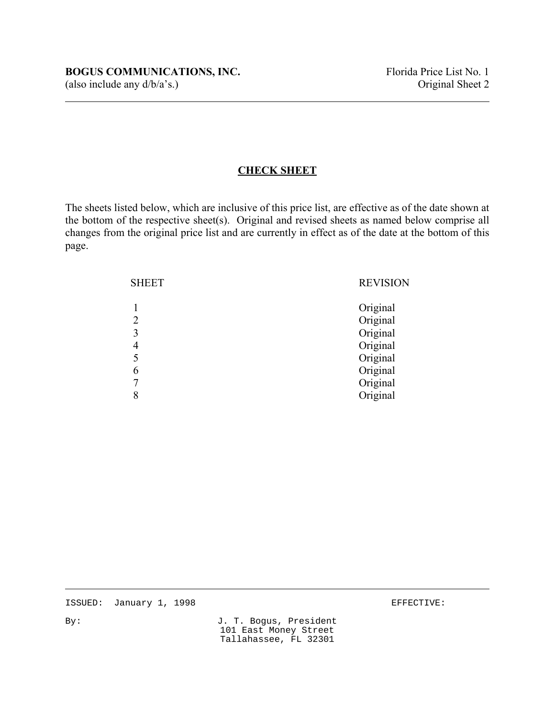## **CHECK SHEET**

The sheets listed below, which are inclusive of this price list, are effective as of the date shown at the bottom of the respective sheet(s). Original and revised sheets as named below comprise all changes from the original price list and are currently in effect as of the date at the bottom of this page.

| <b>SHEET</b>     | <b>REVISION</b>                                                                              |
|------------------|----------------------------------------------------------------------------------------------|
| 3<br>4<br>6<br>8 | Original<br>Original<br>Original<br>Original<br>Original<br>Original<br>Original<br>Original |

ISSUED: January 1, 1998 **EFFECTIVE:**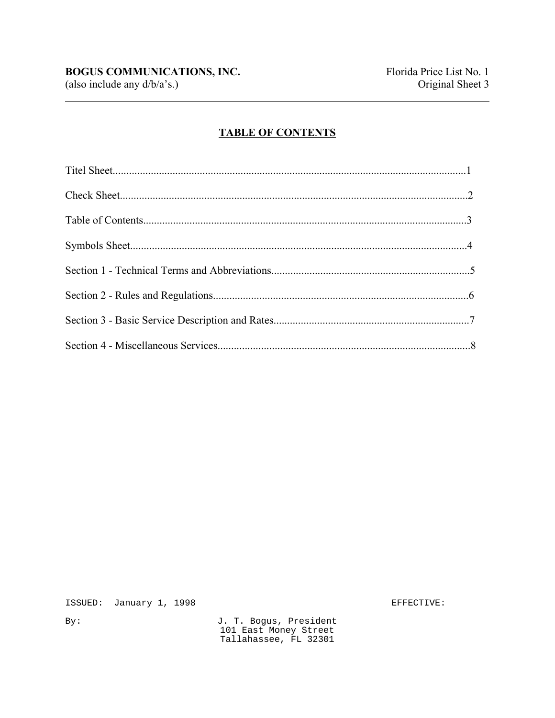(also include any  $d/b/a's$ .)

# **TABLE OF CONTENTS**

ISSUED: January 1, 1998

EFFECTIVE:

 $By:$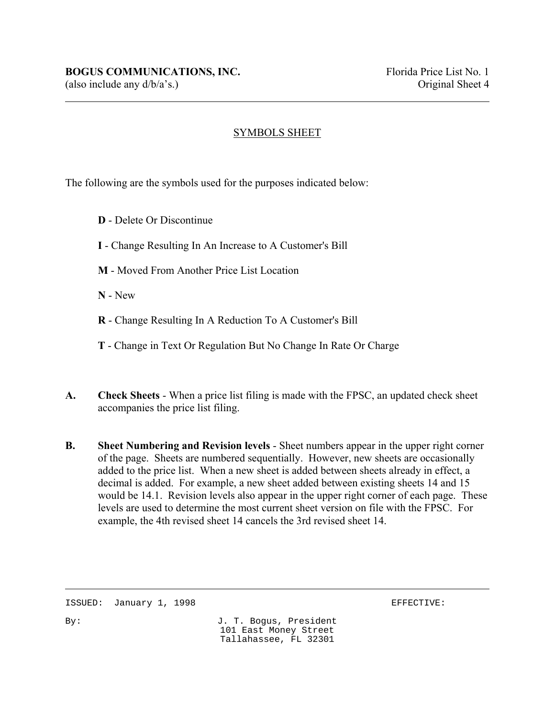# SYMBOLS SHEET

The following are the symbols used for the purposes indicated below:

- **D** Delete Or Discontinue
- **I** Change Resulting In An Increase to A Customer's Bill
- **M** Moved From Another Price List Location

**N** - New

 $\overline{a}$ 

- **R** Change Resulting In A Reduction To A Customer's Bill
- **T** Change in Text Or Regulation But No Change In Rate Or Charge
- **A. Check Sheets** When a price list filing is made with the FPSC, an updated check sheet accompanies the price list filing.
- **B. Sheet Numbering and Revision levels** Sheet numbers appear in the upper right corner of the page. Sheets are numbered sequentially. However, new sheets are occasionally added to the price list. When a new sheet is added between sheets already in effect, a decimal is added. For example, a new sheet added between existing sheets 14 and 15 would be 14.1. Revision levels also appear in the upper right corner of each page. These levels are used to determine the most current sheet version on file with the FPSC. For example, the 4th revised sheet 14 cancels the 3rd revised sheet 14.

ISSUED: January 1, 1998 **EFFECTIVE:**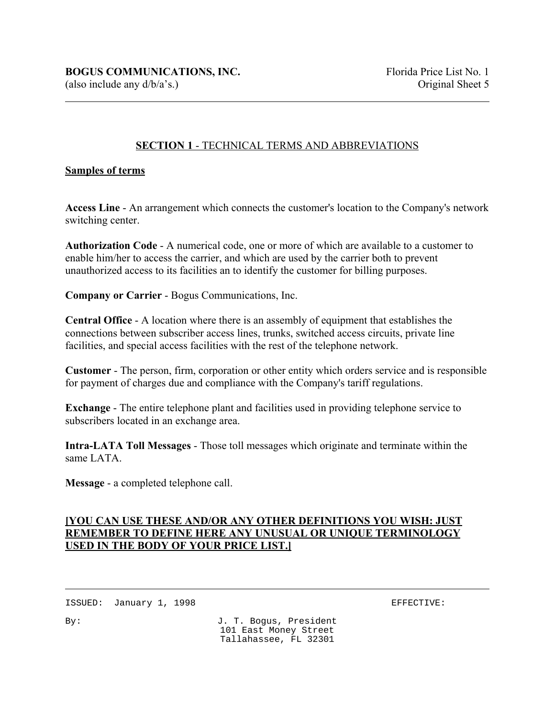## **SECTION 1** - TECHNICAL TERMS AND ABBREVIATIONS

#### **Samples of terms**

 $\overline{a}$ 

**Access Line** - An arrangement which connects the customer's location to the Company's network switching center.

**Authorization Code** - A numerical code, one or more of which are available to a customer to enable him/her to access the carrier, and which are used by the carrier both to prevent unauthorized access to its facilities an to identify the customer for billing purposes.

**Company or Carrier** - Bogus Communications, Inc.

**Central Office** - A location where there is an assembly of equipment that establishes the connections between subscriber access lines, trunks, switched access circuits, private line facilities, and special access facilities with the rest of the telephone network.

**Customer** - The person, firm, corporation or other entity which orders service and is responsible for payment of charges due and compliance with the Company's tariff regulations.

**Exchange** - The entire telephone plant and facilities used in providing telephone service to subscribers located in an exchange area.

**Intra-LATA Toll Messages** - Those toll messages which originate and terminate within the same LATA.

**Message** - a completed telephone call.

## **[YOU CAN USE THESE AND/OR ANY OTHER DEFINITIONS YOU WISH: JUST REMEMBER TO DEFINE HERE ANY UNUSUAL OR UNIQUE TERMINOLOGY USED IN THE BODY OF YOUR PRICE LIST.]**

ISSUED: January 1, 1998 **EFFECTIVE:**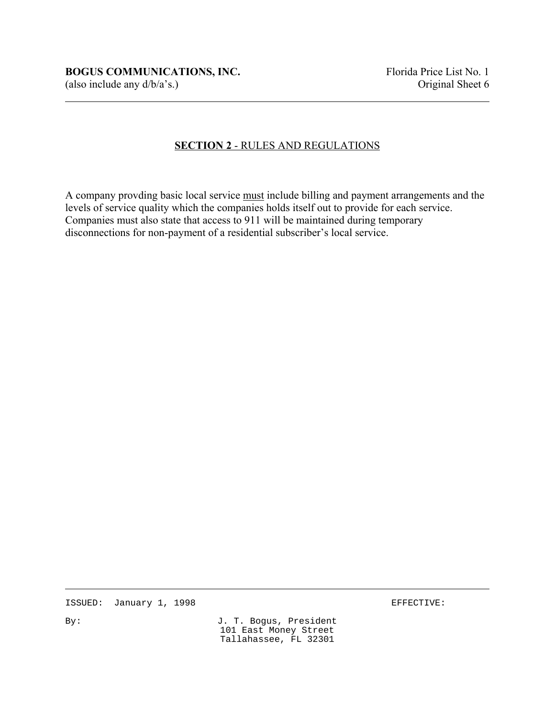## **SECTION 2** - RULES AND REGULATIONS

A company provding basic local service must include billing and payment arrangements and the levels of service quality which the companies holds itself out to provide for each service. Companies must also state that access to 911 will be maintained during temporary disconnections for non-payment of a residential subscriber's local service.

ISSUED: January 1, 1998 **EFFECTIVE:**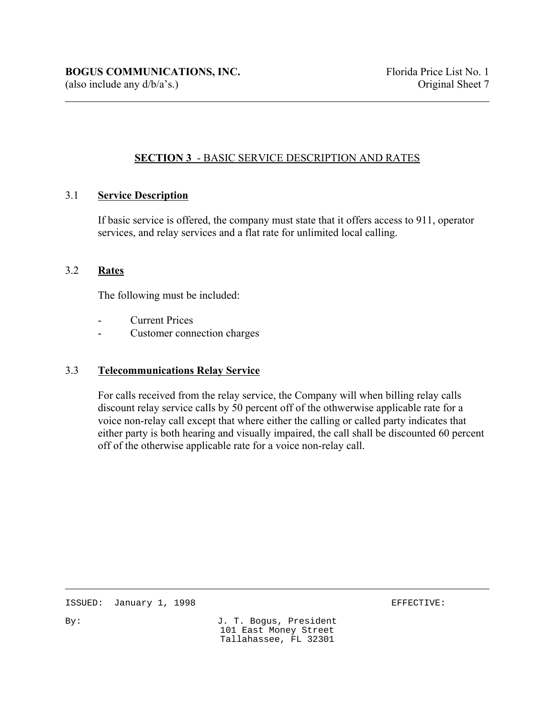# **SECTION 3** - BASIC SERVICE DESCRIPTION AND RATES

### 3.1 **Service Description**

If basic service is offered, the company must state that it offers access to 911, operator services, and relay services and a flat rate for unlimited local calling.

#### 3.2 **Rates**

 $\overline{a}$ 

The following must be included:

- **Current Prices**
- Customer connection charges

#### 3.3 **Telecommunications Relay Service**

For calls received from the relay service, the Company will when billing relay calls discount relay service calls by 50 percent off of the othwerwise applicable rate for a voice non-relay call except that where either the calling or called party indicates that either party is both hearing and visually impaired, the call shall be discounted 60 percent off of the otherwise applicable rate for a voice non-relay call.

ISSUED: January 1, 1998 **EFFECTIVE:**